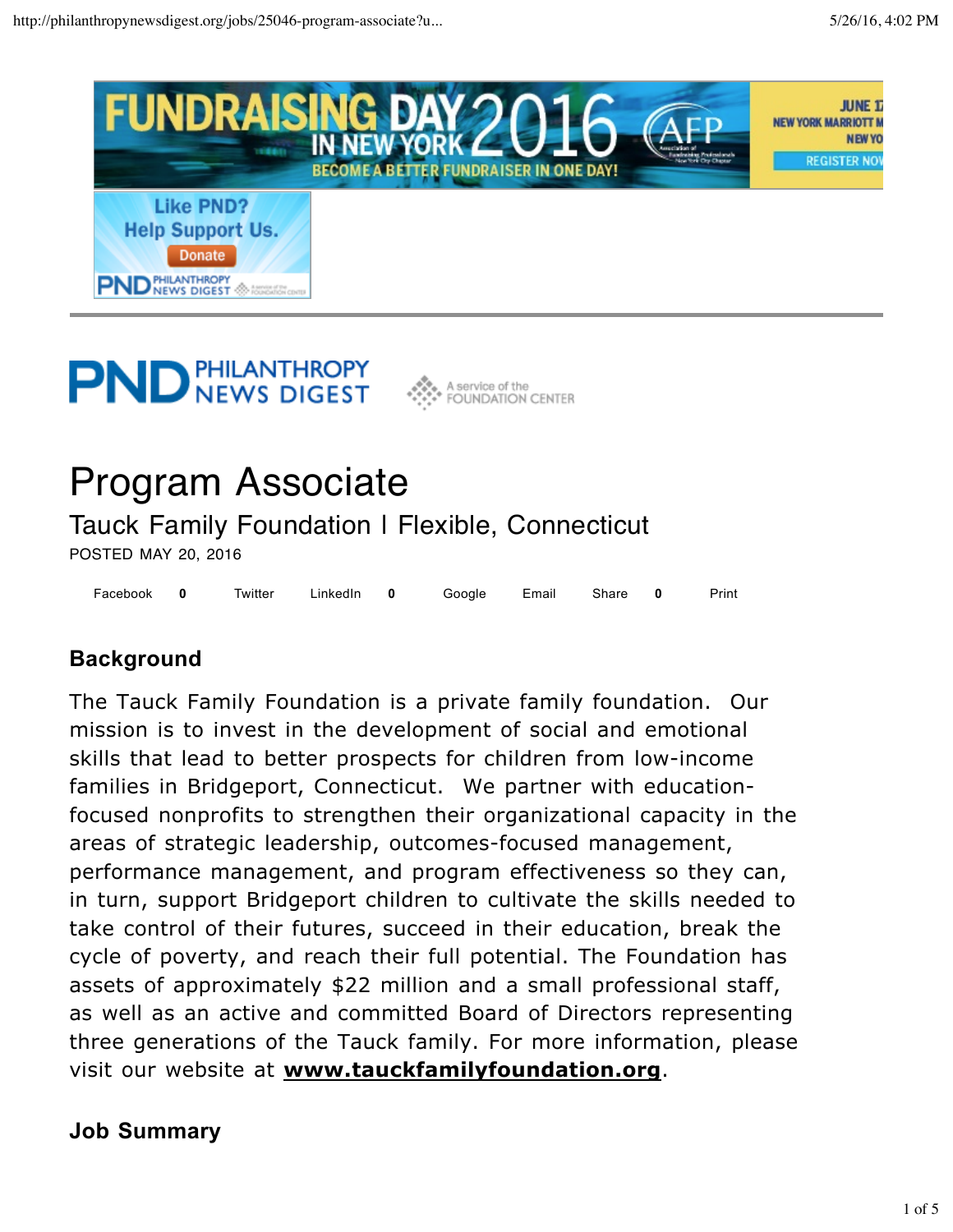

# **PND PHILANTHROPY**



# Program Associate

Tauck Family Foundation I Flexible, Connecticut

POSTED MAY 20, 2016

Facebook 0 Twitter LinkedIn 0 Google Email Share 0 Print **0 0 0**

# **Background**

The Tauck Family Foundation is a private family foundation. Our mission is to invest in the development of social and emotional skills that lead to better prospects for children from low-income families in Bridgeport, Connecticut. We partner with educationfocused nonprofits to strengthen their organizational capacity in the areas of strategic leadership, outcomes-focused management, performance management, and program effectiveness so they can, in turn, support Bridgeport children to cultivate the skills needed to take control of their futures, succeed in their education, break the cycle of poverty, and reach their full potential. The Foundation has assets of approximately \$22 million and a small professional staff, as well as an active and committed Board of Directors representing three generations of the Tauck family. For more information, please visit our website at **www.tauckfamilyfoundation.org**.

# **Job Summary**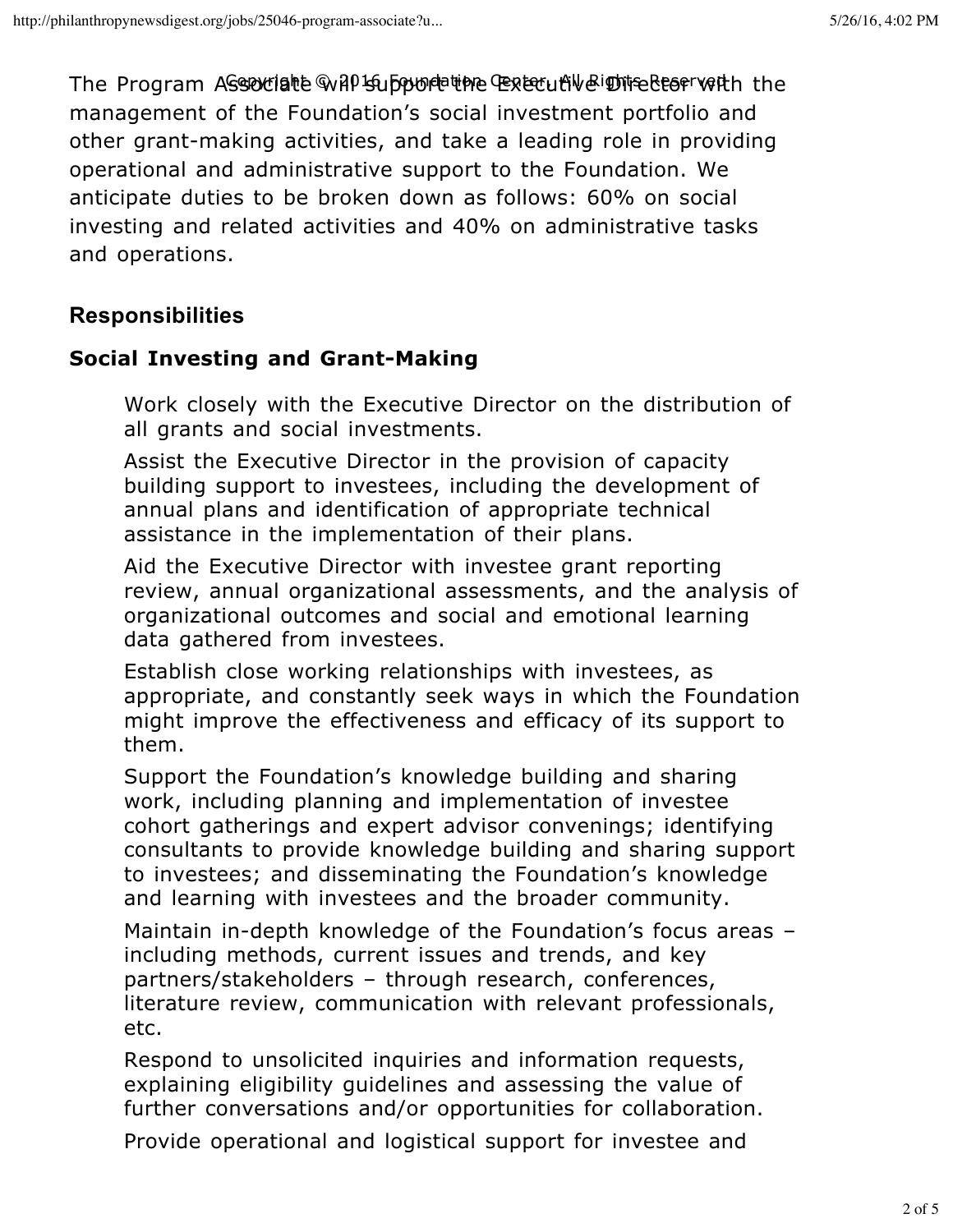The Program Associate will support the Executive Director with the Copyright © 2016 Foundation Center, All Rights Reserved management of the Foundation's social investment portfolio and other grant-making activities, and take a leading role in providing operational and administrative support to the Foundation. We anticipate duties to be broken down as follows: 60% on social investing and related activities and 40% on administrative tasks and operations.

# **Responsibilities**

#### **Social Investing and Grant-Making**

Work closely with the Executive Director on the distribution of all grants and social investments.

Assist the Executive Director in the provision of capacity building support to investees, including the development of annual plans and identification of appropriate technical assistance in the implementation of their plans.

Aid the Executive Director with investee grant reporting review, annual organizational assessments, and the analysis of organizational outcomes and social and emotional learning data gathered from investees.

Establish close working relationships with investees, as appropriate, and constantly seek ways in which the Foundation might improve the effectiveness and efficacy of its support to them.

Support the Foundation's knowledge building and sharing work, including planning and implementation of investee cohort gatherings and expert advisor convenings; identifying consultants to provide knowledge building and sharing support to investees; and disseminating the Foundation's knowledge and learning with investees and the broader community.

Maintain in-depth knowledge of the Foundation's focus areas – including methods, current issues and trends, and key partners/stakeholders – through research, conferences, literature review, communication with relevant professionals, etc.

Respond to unsolicited inquiries and information requests, explaining eligibility guidelines and assessing the value of further conversations and/or opportunities for collaboration.

Provide operational and logistical support for investee and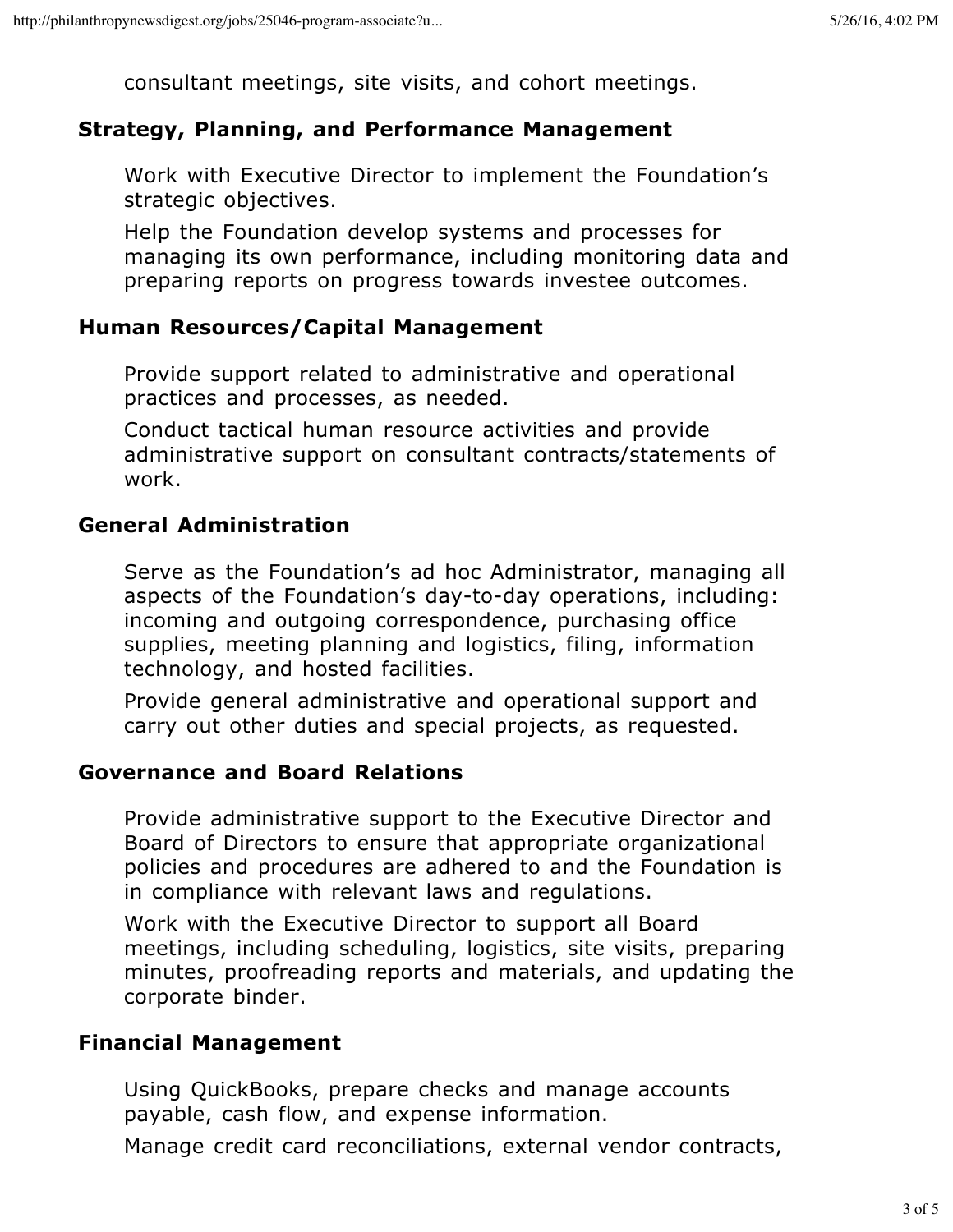consultant meetings, site visits, and cohort meetings.

#### **Strategy, Planning, and Performance Management**

Work with Executive Director to implement the Foundation's strategic objectives.

Help the Foundation develop systems and processes for managing its own performance, including monitoring data and preparing reports on progress towards investee outcomes.

#### **Human Resources/Capital Management**

Provide support related to administrative and operational practices and processes, as needed.

Conduct tactical human resource activities and provide administrative support on consultant contracts/statements of work.

#### **General Administration**

Serve as the Foundation's ad hoc Administrator, managing all aspects of the Foundation's day-to-day operations, including: incoming and outgoing correspondence, purchasing office supplies, meeting planning and logistics, filing, information technology, and hosted facilities.

Provide general administrative and operational support and carry out other duties and special projects, as requested.

#### **Governance and Board Relations**

Provide administrative support to the Executive Director and Board of Directors to ensure that appropriate organizational policies and procedures are adhered to and the Foundation is in compliance with relevant laws and regulations.

Work with the Executive Director to support all Board meetings, including scheduling, logistics, site visits, preparing minutes, proofreading reports and materials, and updating the corporate binder.

#### **Financial Management**

Using QuickBooks, prepare checks and manage accounts payable, cash flow, and expense information.

Manage credit card reconciliations, external vendor contracts,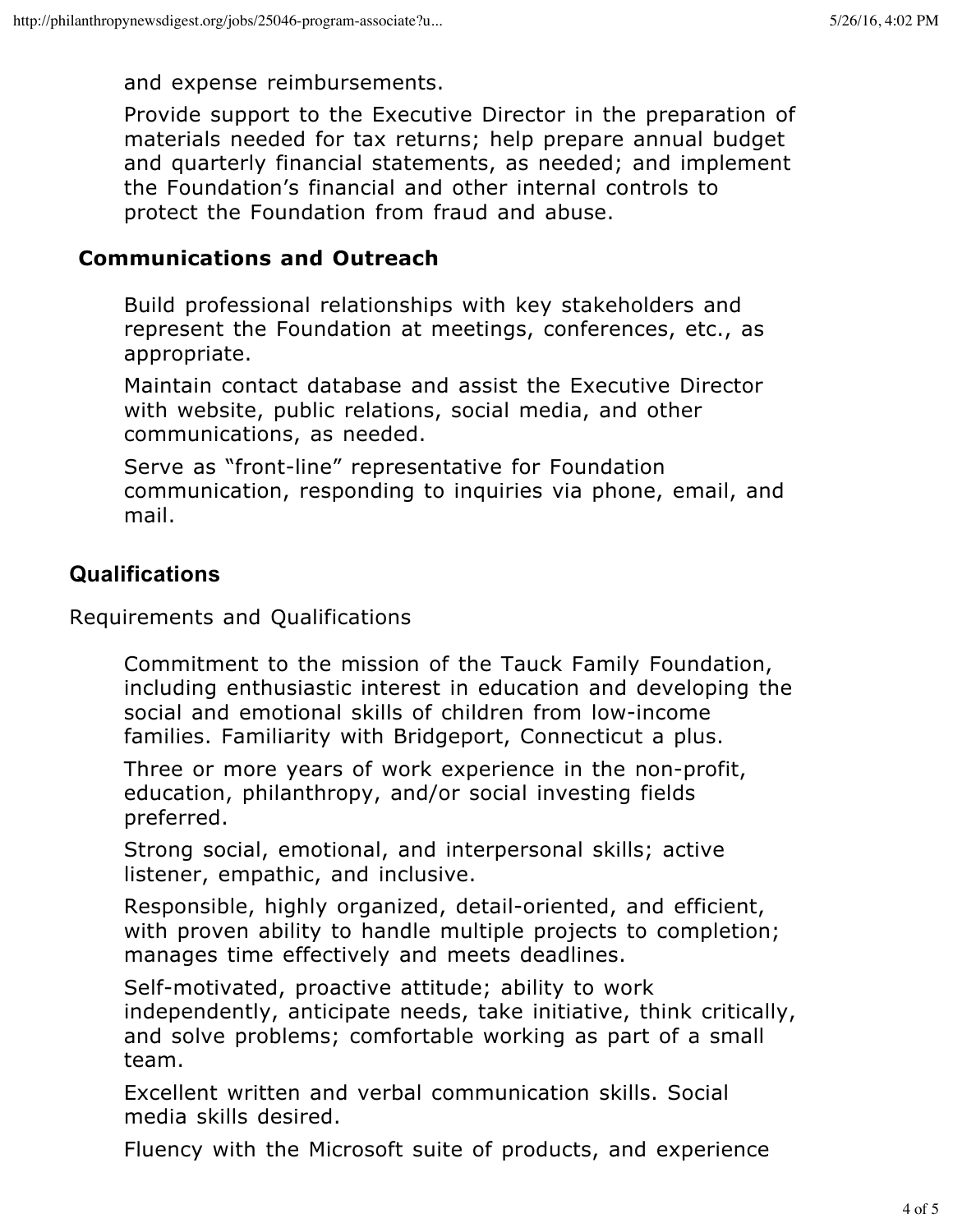and expense reimbursements.

Provide support to the Executive Director in the preparation of materials needed for tax returns; help prepare annual budget and quarterly financial statements, as needed; and implement the Foundation's financial and other internal controls to protect the Foundation from fraud and abuse.

#### **Communications and Outreach**

Build professional relationships with key stakeholders and represent the Foundation at meetings, conferences, etc., as appropriate.

Maintain contact database and assist the Executive Director with website, public relations, social media, and other communications, as needed.

Serve as "front-line" representative for Foundation communication, responding to inquiries via phone, email, and mail.

### **Qualifications**

Requirements and Qualifications

Commitment to the mission of the Tauck Family Foundation, including enthusiastic interest in education and developing the social and emotional skills of children from low-income families. Familiarity with Bridgeport, Connecticut a plus.

Three or more years of work experience in the non-profit, education, philanthropy, and/or social investing fields preferred.

Strong social, emotional, and interpersonal skills; active listener, empathic, and inclusive.

Responsible, highly organized, detail-oriented, and efficient, with proven ability to handle multiple projects to completion; manages time effectively and meets deadlines.

Self-motivated, proactive attitude; ability to work independently, anticipate needs, take initiative, think critically, and solve problems; comfortable working as part of a small team.

Excellent written and verbal communication skills. Social media skills desired.

Fluency with the Microsoft suite of products, and experience